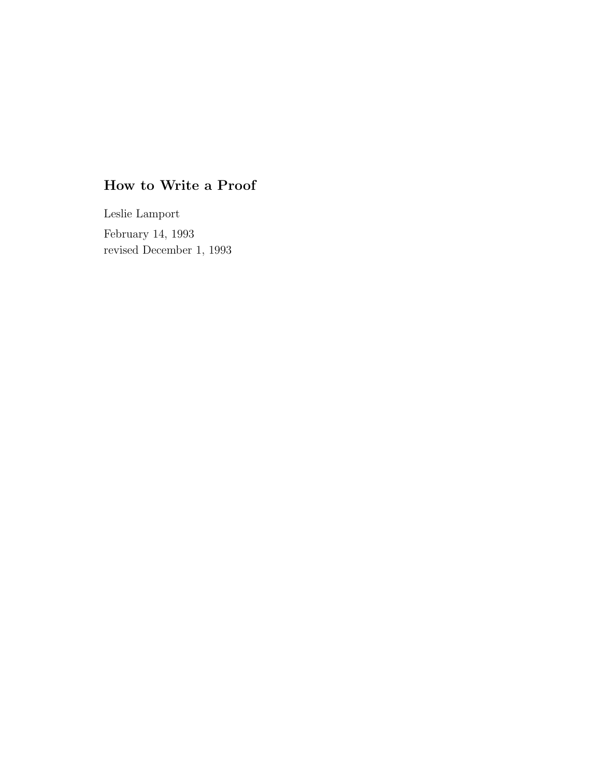# How to Write a Proof

Leslie Lamport February 14, 1993 revised December 1, 1993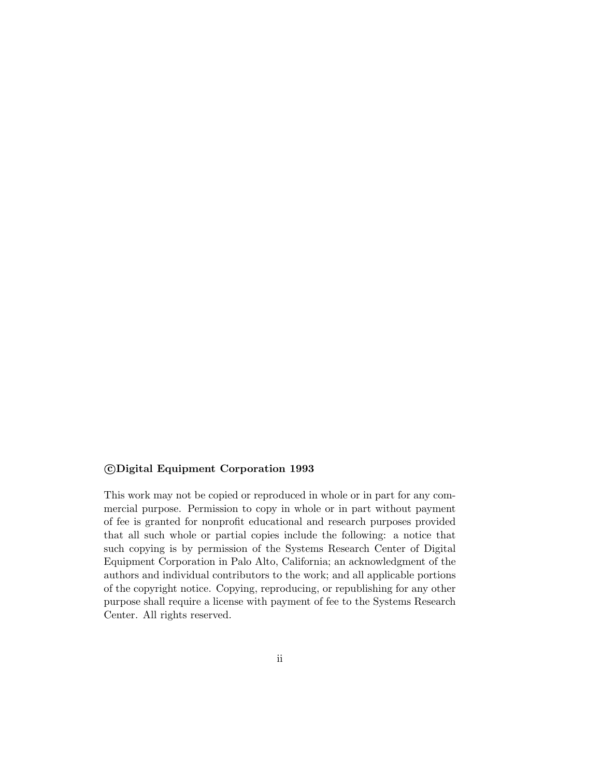#### c Digital Equipment Corporation 1993

This work may not be copied or reproduced in whole or in part for any commercial purpose. Permission to copy in whole or in part without payment of fee is granted for nonprofit educational and research purposes provided that all such whole or partial copies include the following: a notice that such copying is by permission of the Systems Research Center of Digital Equipment Corporation in Palo Alto, California; an acknowledgment of the authors and individual contributors to the work; and all applicable portions of the copyright notice. Copying, reproducing, or republishing for any other purpose shall require a license with payment of fee to the Systems Research Center. All rights reserved.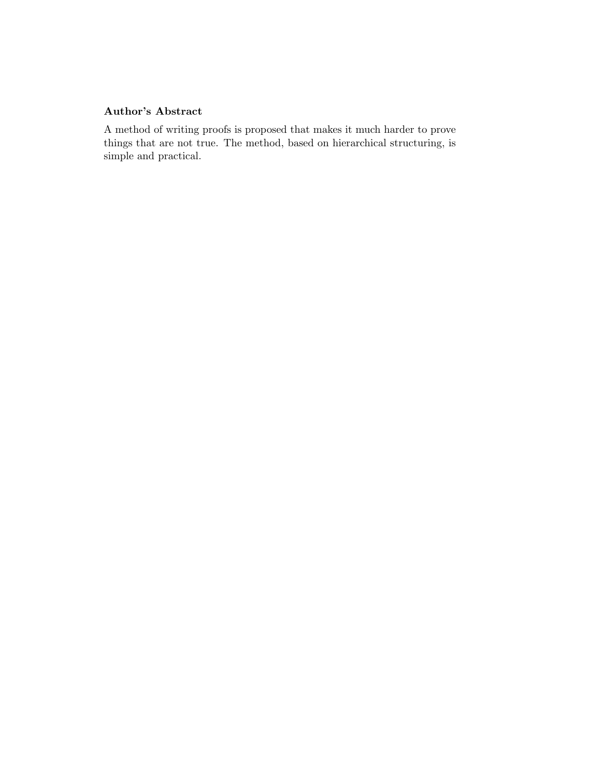### Author's Abstract

A method of writing proofs is proposed that makes it much harder to prove things that are not true. The method, based on hierarchical structuring, is simple and practical.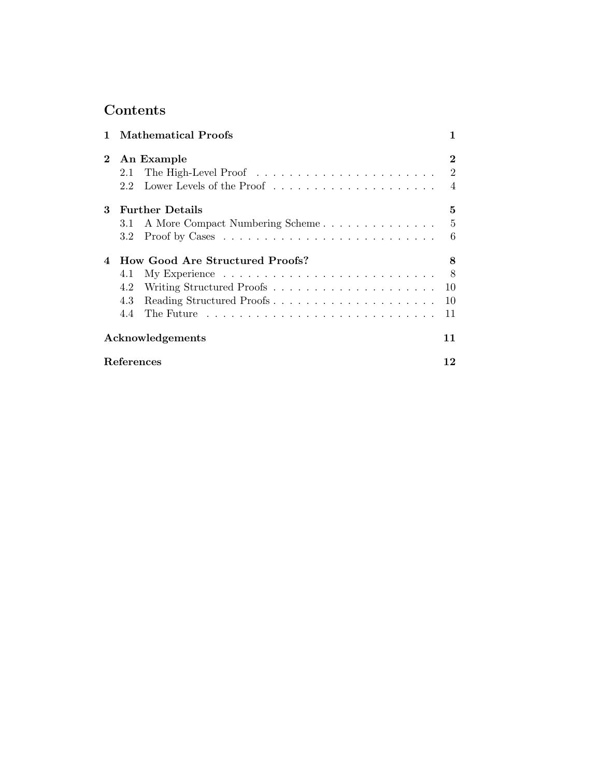# **Contents**

| 1                | <b>Mathematical Proofs</b>                                                                                           | 1                                            |
|------------------|----------------------------------------------------------------------------------------------------------------------|----------------------------------------------|
| $\bf{2}$         | An Example<br>2.1<br>2.2                                                                                             | $\bf{2}$<br>$\overline{2}$<br>$\overline{4}$ |
| 3                | <b>Further Details</b><br>A More Compact Numbering Scheme<br>3.1<br>3.2                                              | 5<br>5<br>6                                  |
| 4                | How Good Are Structured Proofs?<br>4.1<br>Writing Structured Proofs<br>4.2<br>Reading Structured Proofs<br>4.3<br>44 | 8<br>8<br>10<br>10<br>11                     |
| Acknowledgements |                                                                                                                      |                                              |
| References       |                                                                                                                      |                                              |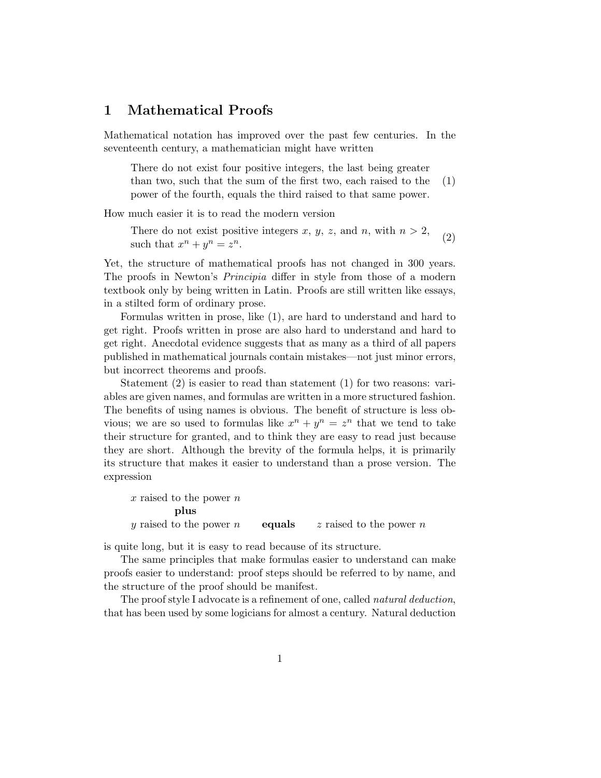## 1 Mathematical Proofs

Mathematical notation has improved over the past few centuries. In the seventeenth century, a mathematician might have written

There do not exist four positive integers, the last being greater than two, such that the sum of the first two, each raised to the power of the fourth, equals the third raised to that same power. (1)

How much easier it is to read the modern version

There do not exist positive integers x, y, z, and n, with  $n > 2$ , such that  $x^n + y^n = z^n$ . (2)

Yet, the structure of mathematical proofs has not changed in 300 years. The proofs in Newton's *Principia* differ in style from those of a modern textbook only by being written in Latin. Proofs are still written like essays, in a stilted form of ordinary prose.

Formulas written in prose, like (1), are hard to understand and hard to get right. Proofs written in prose are also hard to understand and hard to get right. Anecdotal evidence suggests that as many as a third of all papers published in mathematical journals contain mistakes—not just minor errors, but incorrect theorems and proofs.

Statement (2) is easier to read than statement (1) for two reasons: variables are given names, and formulas are written in a more structured fashion. The benefits of using names is obvious. The benefit of structure is less obvious; we are so used to formulas like  $x^n + y^n = z^n$  that we tend to take their structure for granted, and to think they are easy to read just because they are short. Although the brevity of the formula helps, it is primarily its structure that makes it easier to understand than a prose version. The expression

 $x$  raised to the power  $n$ plus y raised to the power n equals z raised to the power n

is quite long, but it is easy to read because of its structure.

The same principles that make formulas easier to understand can make proofs easier to understand: proof steps should be referred to by name, and the structure of the proof should be manifest.

The proof style I advocate is a refinement of one, called natural deduction, that has been used by some logicians for almost a century. Natural deduction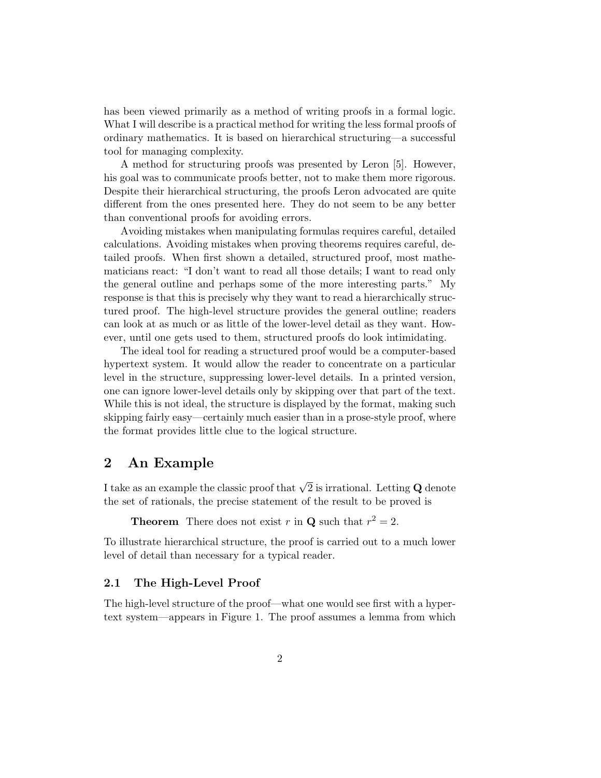has been viewed primarily as a method of writing proofs in a formal logic. What I will describe is a practical method for writing the less formal proofs of ordinary mathematics. It is based on hierarchical structuring—a successful tool for managing complexity.

A method for structuring proofs was presented by Leron [5]. However, his goal was to communicate proofs better, not to make them more rigorous. Despite their hierarchical structuring, the proofs Leron advocated are quite different from the ones presented here. They do not seem to be any better than conventional proofs for avoiding errors.

Avoiding mistakes when manipulating formulas requires careful, detailed calculations. Avoiding mistakes when proving theorems requires careful, detailed proofs. When first shown a detailed, structured proof, most mathematicians react: "I don't want to read all those details; I want to read only the general outline and perhaps some of the more interesting parts." My response is that this is precisely why they want to read a hierarchically structured proof. The high-level structure provides the general outline; readers can look at as much or as little of the lower-level detail as they want. However, until one gets used to them, structured proofs do look intimidating.

The ideal tool for reading a structured proof would be a computer-based hypertext system. It would allow the reader to concentrate on a particular level in the structure, suppressing lower-level details. In a printed version, one can ignore lower-level details only by skipping over that part of the text. While this is not ideal, the structure is displayed by the format, making such skipping fairly easy—certainly much easier than in a prose-style proof, where the format provides little clue to the logical structure.

# 2 An Example

I take as an example the classic proof that  $\sqrt{2}$  is irrational. Letting  $\bf Q$  denote the set of rationals, the precise statement of the result to be proved is

**Theorem** There does not exist r in **Q** such that  $r^2 = 2$ .

To illustrate hierarchical structure, the proof is carried out to a much lower level of detail than necessary for a typical reader.

### 2.1 The High-Level Proof

The high-level structure of the proof—what one would see first with a hypertext system—appears in Figure 1. The proof assumes a lemma from which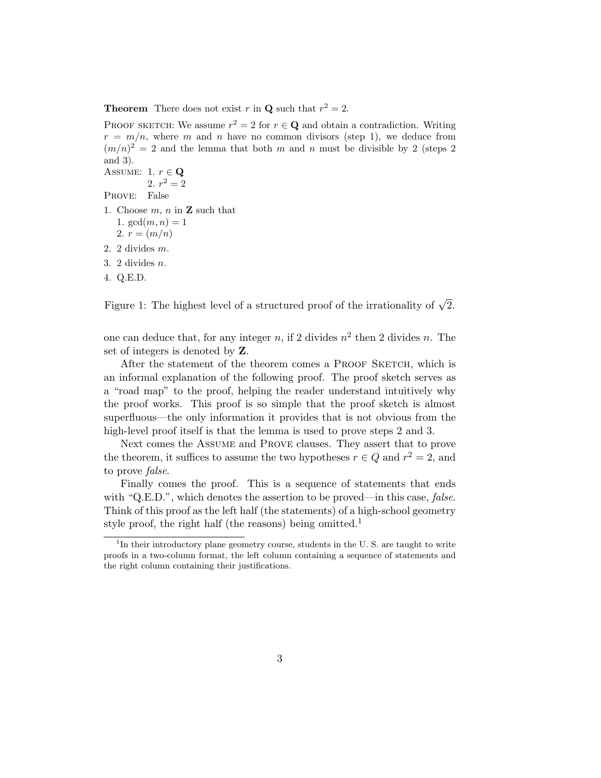**Theorem** There does not exist r in **Q** such that  $r^2 = 2$ .

PROOF SKETCH: We assume  $r^2 = 2$  for  $r \in \mathbf{Q}$  and obtain a contradiction. Writing  $r = m/n$ , where m and n have no common divisors (step 1), we deduce from  $(m/n)^2 = 2$  and the lemma that both m and n must be divisible by 2 (steps 2) and 3).

ASSUME: 1.  $r \in \mathbf{Q}$ 2.  $r^2 = 2$ PROVE: False

1. Choose  $m, n$  in  $\mathbf Z$  such that

1.  $gcd(m, n) = 1$ 

- 2.  $r = (m/n)$
- 2. 2 divides m.
- 3. 2 divides n.
- 4. Q.E.D.

Figure 1: The highest level of a structured proof of the irrationality of  $\sqrt{2}$ .

one can deduce that, for any integer n, if 2 divides  $n^2$  then 2 divides n. The set of integers is denoted by Z.

After the statement of the theorem comes a PROOF SKETCH, which is an informal explanation of the following proof. The proof sketch serves as a "road map" to the proof, helping the reader understand intuitively why the proof works. This proof is so simple that the proof sketch is almost superfluous—the only information it provides that is not obvious from the high-level proof itself is that the lemma is used to prove steps 2 and 3.

Next comes the Assume and Prove clauses. They assert that to prove the theorem, it suffices to assume the two hypotheses  $r \in Q$  and  $r^2 = 2$ , and to prove false.

Finally comes the proof. This is a sequence of statements that ends with "Q.E.D.", which denotes the assertion to be proved—in this case,  $false$ . Think of this proof as the left half (the statements) of a high-school geometry style proof, the right half (the reasons) being omitted.<sup>1</sup>

<sup>&</sup>lt;sup>1</sup>In their introductory plane geometry course, students in the U.S. are taught to write proofs in a two-column format, the left column containing a sequence of statements and the right column containing their justifications.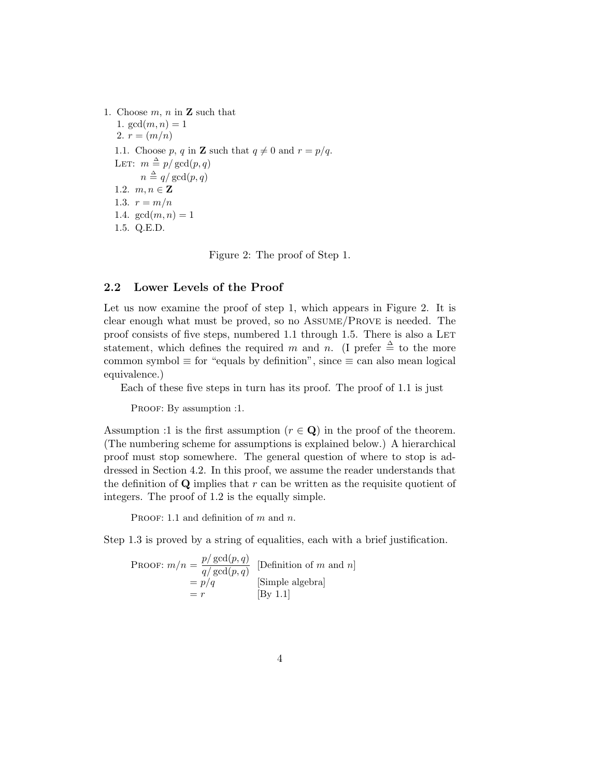1. Choose  $m, n$  in  $\mathbf Z$  such that 1.  $gcd(m, n) = 1$ 2.  $r = (m/n)$ 1.1. Choose p, q in **Z** such that  $q \neq 0$  and  $r = p/q$ . LET:  $m \triangleq p / \gcd(p, q)$  $n \triangleq q / \gcd(p, q)$ 1.2.  $m, n \in \mathbb{Z}$ 1.3.  $r = m/n$ 1.4.  $gcd(m, n) = 1$ 1.5. Q.E.D.

Figure 2: The proof of Step 1.

### 2.2 Lower Levels of the Proof

Let us now examine the proof of step 1, which appears in Figure 2. It is clear enough what must be proved, so no Assume/Prove is needed. The proof consists of five steps, numbered 1.1 through 1.5. There is also a LET statement, which defines the required m and n. (I prefer  $\triangleq$  to the more common symbol  $\equiv$  for "equals by definition", since  $\equiv$  can also mean logical equivalence.)

Each of these five steps in turn has its proof. The proof of 1.1 is just

PROOF: By assumption :1.

Assumption :1 is the first assumption ( $r \in \mathbf{Q}$ ) in the proof of the theorem. (The numbering scheme for assumptions is explained below.) A hierarchical proof must stop somewhere. The general question of where to stop is addressed in Section 4.2. In this proof, we assume the reader understands that the definition of  $\bf{Q}$  implies that r can be written as the requisite quotient of integers. The proof of 1.2 is the equally simple.

PROOF: 1.1 and definition of  $m$  and  $n$ .

Step 1.3 is proved by a string of equalities, each with a brief justification.

PROOF: 
$$
m/n = \frac{p/\gcd(p, q)}{q/\gcd(p, q)}
$$
 [Definition of *m* and *n*]  
=  $p/q$  [Simple algebra]  
= *r* [By 1.1]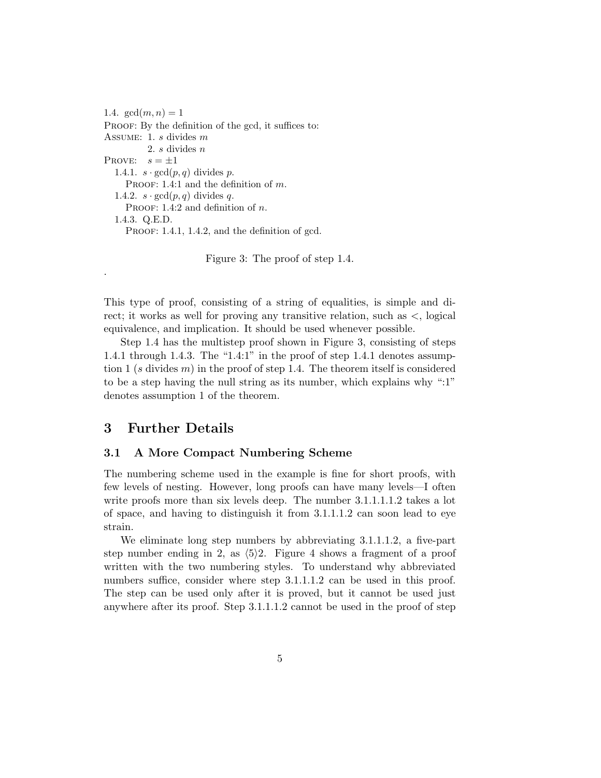1.4.  $gcd(m, n) = 1$ PROOF: By the definition of the gcd, it suffices to: Assume: 1. s divides m 2. s divides n PROVE:  $s = \pm 1$ 1.4.1.  $s \cdot \gcd(p, q)$  divides p. PROOF: 1.4:1 and the definition of  $m$ . 1.4.2.  $s \cdot \gcd(p, q)$  divides q. PROOF: 1.4:2 and definition of  $n$ . 1.4.3. Q.E.D. PROOF: 1.4.1, 1.4.2, and the definition of gcd.

Figure 3: The proof of step 1.4.

This type of proof, consisting of a string of equalities, is simple and direct; it works as well for proving any transitive relation, such as <, logical equivalence, and implication. It should be used whenever possible.

Step 1.4 has the multistep proof shown in Figure 3, consisting of steps 1.4.1 through 1.4.3. The "1.4:1" in the proof of step 1.4.1 denotes assumption 1 (s divides m) in the proof of step 1.4. The theorem itself is considered to be a step having the null string as its number, which explains why ":1" denotes assumption 1 of the theorem.

## 3 Further Details

.

#### 3.1 A More Compact Numbering Scheme

The numbering scheme used in the example is fine for short proofs, with few levels of nesting. However, long proofs can have many levels—I often write proofs more than six levels deep. The number  $3.1.1.1.1.2$  takes a lot of space, and having to distinguish it from 3.1.1.1.2 can soon lead to eye strain.

We eliminate long step numbers by abbreviating 3.1.1.1.2, a five-part step number ending in 2, as  $\langle 5 \rangle 2$ . Figure 4 shows a fragment of a proof written with the two numbering styles. To understand why abbreviated numbers suffice, consider where step 3.1.1.1.2 can be used in this proof. The step can be used only after it is proved, but it cannot be used just anywhere after its proof. Step 3.1.1.1.2 cannot be used in the proof of step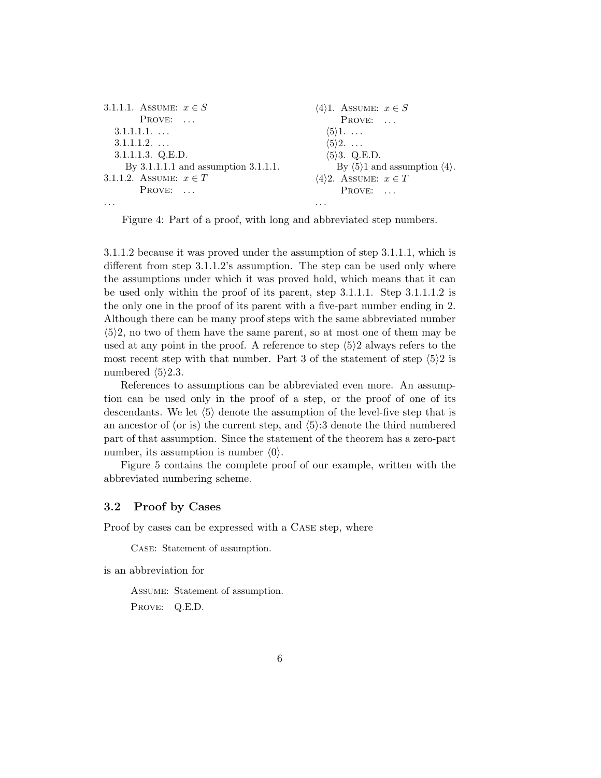| 3.1.1.1. ASSUME: $x \in S$           | $\langle 4 \rangle 1$ . ASSUME: $x \in S$                     |
|--------------------------------------|---------------------------------------------------------------|
| $PROVE: \dots$                       | $PROVE: \dots$                                                |
| $3.1.1.1.1.$                         | $\langle 5 \rangle 1. \dots$                                  |
| $3.1.1.1.2. \ldots$                  | $\langle 5 \rangle 2. \dots$                                  |
| 3.1.1.1.3. Q.E.D.                    | $\langle 5 \rangle$ 3. Q.E.D.                                 |
| By 3.1.1.1.1 and assumption 3.1.1.1. | By $\langle 5 \rangle$ 1 and assumption $\langle 4 \rangle$ . |
| 3.1.1.2. ASSUME: $x \in T$           | $\langle 4 \rangle 2$ . ASSUME: $x \in T$                     |
| $PROVE: \dots$                       | $PROVE: \dots$                                                |
| $\cdots$                             | .                                                             |

Figure 4: Part of a proof, with long and abbreviated step numbers.

3.1.1.2 because it was proved under the assumption of step 3.1.1.1, which is different from step 3.1.1.2's assumption. The step can be used only where the assumptions under which it was proved hold, which means that it can be used only within the proof of its parent, step 3.1.1.1. Step 3.1.1.1.2 is the only one in the proof of its parent with a five-part number ending in 2. Although there can be many proof steps with the same abbreviated number  $\langle 5 \rangle$ ?, no two of them have the same parent, so at most one of them may be used at any point in the proof. A reference to step  $\langle 5 \rangle 2$  always refers to the most recent step with that number. Part 3 of the statement of step  $\langle 5 \rangle 2$  is numbered  $\langle 5 \rangle 2.3$ .

References to assumptions can be abbreviated even more. An assumption can be used only in the proof of a step, or the proof of one of its descendants. We let  $\langle 5 \rangle$  denote the assumption of the level-five step that is an ancestor of (or is) the current step, and  $\langle 5 \rangle$ :3 denote the third numbered part of that assumption. Since the statement of the theorem has a zero-part number, its assumption is number  $\langle 0 \rangle$ .

Figure 5 contains the complete proof of our example, written with the abbreviated numbering scheme.

#### 3.2 Proof by Cases

Proof by cases can be expressed with a Case step, where

Case: Statement of assumption.

is an abbreviation for

Assume: Statement of assumption. Prove: Q.E.D.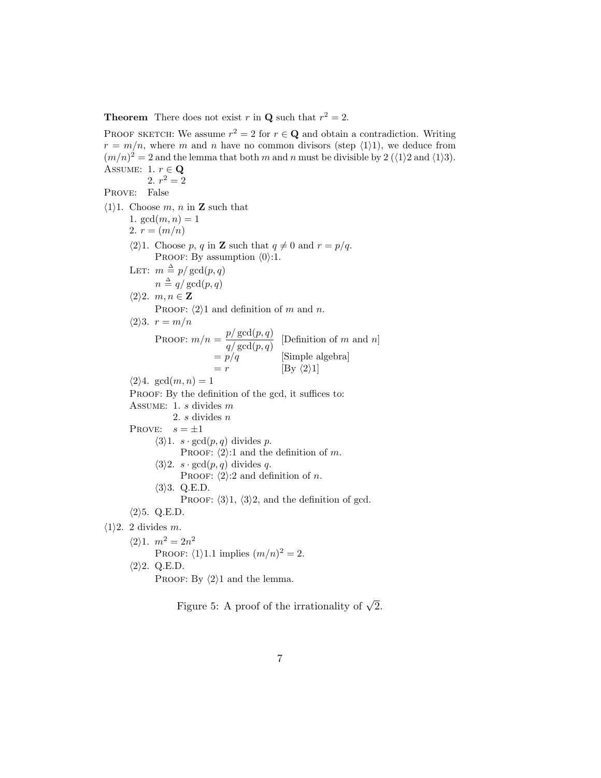**Theorem** There does not exist r in **Q** such that  $r^2 = 2$ .

PROOF SKETCH: We assume  $r^2 = 2$  for  $r \in \mathbf{Q}$  and obtain a contradiction. Writing  $r = m/n$ , where m and n have no common divisors (step  $\langle 1 \rangle 1$ ), we deduce from  $(m/n)^2 = 2$  and the lemma that both m and n must be divisible by 2 ( $\langle 1 \rangle$ 2 and  $\langle 1 \rangle$ 3). ASSUME: 1.  $r \in \mathbf{Q}$ 2.  $r^2 = 2$ PROVE: False  $\langle 1 \rangle$ 1. Choose m, n in **Z** such that 1.  $gcd(m, n) = 1$ 2.  $r = (m/n)$  $\langle 2 \rangle$ 1. Choose p, q in **Z** such that  $q \neq 0$  and  $r = p/q$ . PROOF: By assumption  $\langle 0 \rangle$ :1. LET:  $m \triangleq p / \gcd(p, q)$  $n \triangleq q / \gcd(p, q)$  $\langle 2 \rangle 2.$   $m, n \in \mathbb{Z}$ PROOF:  $\langle 2 \rangle$ 1 and definition of m and n.  $\langle 2 \rangle 3.$   $r = m/n$ PROOF:  $m/n = \frac{p/\gcd(p,q)}{p}$  $\frac{p}{q/\gcd(p,q)}$  [Definition of m and n]  $= p/q$  [Simple algebra]  $[By \langle 2 \rangle 1]$  $\langle 2\rangle 4. \text{ gcd}(m, n) = 1$ PROOF: By the definition of the gcd, it suffices to: Assume: 1. s divides m 2. s divides n PROVE:  $s = \pm 1$  $\langle 3 \rangle 1. s \cdot \gcd(p, q)$  divides p. PROOF:  $\langle 2 \rangle$ :1 and the definition of m.  $\langle 3 \rangle 2. s \cdot \gcd(p, q)$  divides q. PROOF:  $\langle 2 \rangle$ :2 and definition of *n*.  $\langle 3 \rangle$ 3. Q.E.D. PROOF:  $\langle 3 \rangle 1$ ,  $\langle 3 \rangle 2$ , and the definition of gcd.  $\langle 2 \rangle$ 5. Q.E.D.  $\langle 1 \rangle 2$ . 2 divides m.  $\langle 2 \rangle 1$ .  $m^2 = 2n^2$ PROOF:  $\langle 1 \rangle$ 1.1 implies  $(m/n)^2 = 2$ .

 $\langle 2 \rangle 2$ . Q.E.D.

PROOF: By  $\langle 2 \rangle$ 1 and the lemma.

Figure 5: A proof of the irrationality of  $\sqrt{2}$ .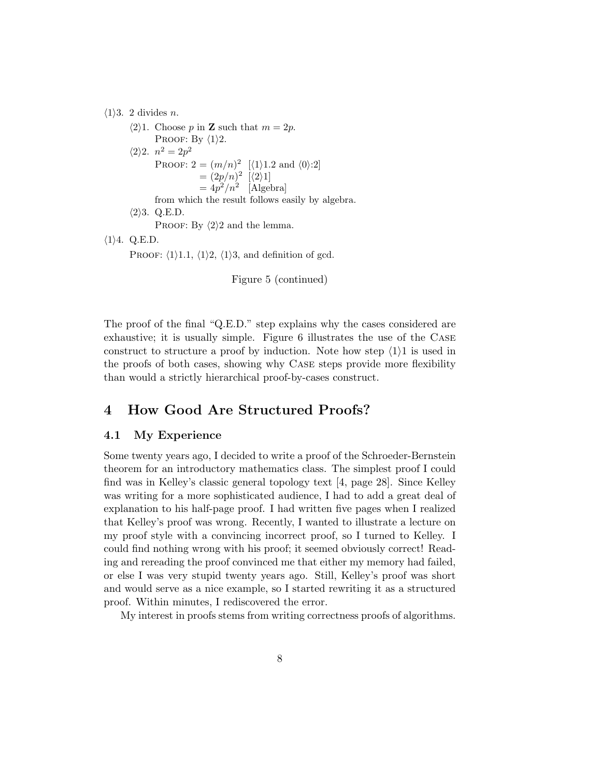$\langle 1 \rangle 3$ . 2 divides *n*.  $\langle 2 \rangle$ 1. Choose p in **Z** such that  $m = 2p$ . PROOF: By  $\langle 1 \rangle 2$ .  $\langle 2 \rangle 2$ .  $n^2 = 2p^2$ PROOF:  $2 = (m/n)^2$  [ $\langle 1 \rangle$ 1.2 and  $\langle 0 \rangle$ :2]  $=(2p/n)^2$  [ $\langle 2 \rangle 1$ ]  $= 4p^2/n^2$  [Algebra] from which the result follows easily by algebra.  $\langle 2 \rangle$ 3. Q.E.D. PROOF: By  $\langle 2 \rangle 2$  and the lemma.  $\langle 1 \rangle 4$ . Q.E.D. PROOF:  $\langle 1 \rangle$ 1.1,  $\langle 1 \rangle$ 2,  $\langle 1 \rangle$ 3, and definition of gcd.

Figure 5 (continued)

The proof of the final "Q.E.D." step explains why the cases considered are exhaustive; it is usually simple. Figure 6 illustrates the use of the Case construct to structure a proof by induction. Note how step  $\langle 1 \rangle$ 1 is used in the proofs of both cases, showing why Case steps provide more flexibility than would a strictly hierarchical proof-by-cases construct.

# 4 How Good Are Structured Proofs?

### 4.1 My Experience

Some twenty years ago, I decided to write a proof of the Schroeder-Bernstein theorem for an introductory mathematics class. The simplest proof I could find was in Kelley's classic general topology text [4, page 28]. Since Kelley was writing for a more sophisticated audience, I had to add a great deal of explanation to his half-page proof. I had written five pages when I realized that Kelley's proof was wrong. Recently, I wanted to illustrate a lecture on my proof style with a convincing incorrect proof, so I turned to Kelley. I could find nothing wrong with his proof; it seemed obviously correct! Reading and rereading the proof convinced me that either my memory had failed, or else I was very stupid twenty years ago. Still, Kelley's proof was short and would serve as a nice example, so I started rewriting it as a structured proof. Within minutes, I rediscovered the error.

My interest in proofs stems from writing correctness proofs of algorithms.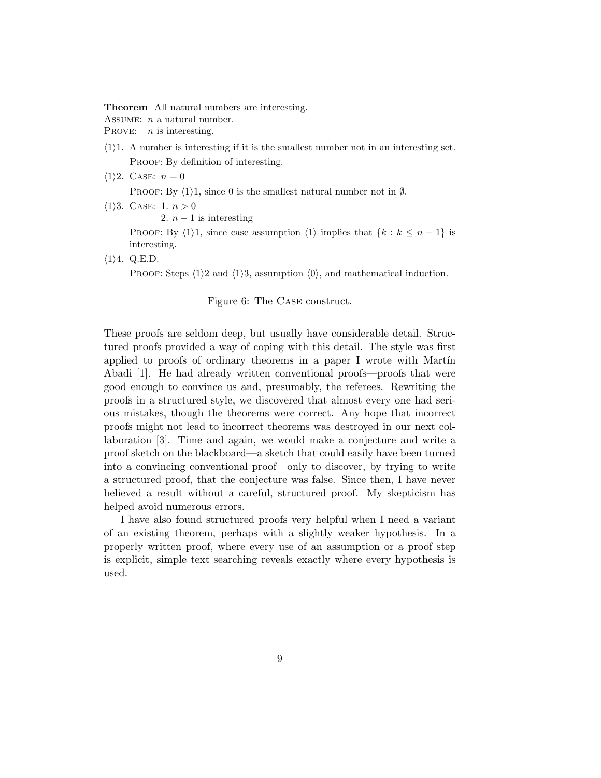Theorem All natural numbers are interesting.

ASSUME:  $n$  a natural number.

PROVE:  $n$  is interesting.

- $\langle 1 \rangle$ 1. A number is interesting if it is the smallest number not in an interesting set. PROOF: By definition of interesting.
- $\langle 1 \rangle 2$ . CASE:  $n = 0$

PROOF: By  $\langle 1 \rangle$ 1, since 0 is the smallest natural number not in  $\emptyset$ .

 $\langle 1 \rangle$ 3. CASE: 1.  $n > 0$ 2.  $n-1$  is interesting PROOF: By  $\langle 1 \rangle$ 1, since case assumption  $\langle 1 \rangle$  implies that  $\{k : k \leq n-1\}$  is

interesting.

 $\langle 1 \rangle 4.$  Q.E.D.

PROOF: Steps  $\langle 1 \rangle$ 2 and  $\langle 1 \rangle$ 3, assumption  $\langle 0 \rangle$ , and mathematical induction.

#### Figure 6: The Case construct.

These proofs are seldom deep, but usually have considerable detail. Structured proofs provided a way of coping with this detail. The style was first applied to proofs of ordinary theorems in a paper I wrote with Martin Abadi [1]. He had already written conventional proofs—proofs that were good enough to convince us and, presumably, the referees. Rewriting the proofs in a structured style, we discovered that almost every one had serious mistakes, though the theorems were correct. Any hope that incorrect proofs might not lead to incorrect theorems was destroyed in our next collaboration [3]. Time and again, we would make a conjecture and write a proof sketch on the blackboard—a sketch that could easily have been turned into a convincing conventional proof—only to discover, by trying to write a structured proof, that the conjecture was false. Since then, I have never believed a result without a careful, structured proof. My skepticism has helped avoid numerous errors.

I have also found structured proofs very helpful when I need a variant of an existing theorem, perhaps with a slightly weaker hypothesis. In a properly written proof, where every use of an assumption or a proof step is explicit, simple text searching reveals exactly where every hypothesis is used.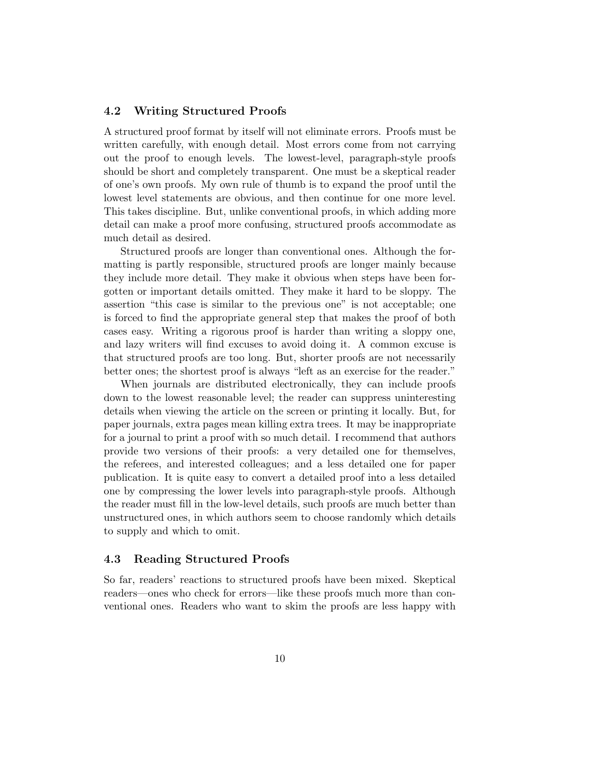### 4.2 Writing Structured Proofs

A structured proof format by itself will not eliminate errors. Proofs must be written carefully, with enough detail. Most errors come from not carrying out the proof to enough levels. The lowest-level, paragraph-style proofs should be short and completely transparent. One must be a skeptical reader of one's own proofs. My own rule of thumb is to expand the proof until the lowest level statements are obvious, and then continue for one more level. This takes discipline. But, unlike conventional proofs, in which adding more detail can make a proof more confusing, structured proofs accommodate as much detail as desired.

Structured proofs are longer than conventional ones. Although the formatting is partly responsible, structured proofs are longer mainly because they include more detail. They make it obvious when steps have been forgotten or important details omitted. They make it hard to be sloppy. The assertion "this case is similar to the previous one" is not acceptable; one is forced to find the appropriate general step that makes the proof of both cases easy. Writing a rigorous proof is harder than writing a sloppy one, and lazy writers will find excuses to avoid doing it. A common excuse is that structured proofs are too long. But, shorter proofs are not necessarily better ones; the shortest proof is always "left as an exercise for the reader."

When journals are distributed electronically, they can include proofs down to the lowest reasonable level; the reader can suppress uninteresting details when viewing the article on the screen or printing it locally. But, for paper journals, extra pages mean killing extra trees. It may be inappropriate for a journal to print a proof with so much detail. I recommend that authors provide two versions of their proofs: a very detailed one for themselves, the referees, and interested colleagues; and a less detailed one for paper publication. It is quite easy to convert a detailed proof into a less detailed one by compressing the lower levels into paragraph-style proofs. Although the reader must fill in the low-level details, such proofs are much better than unstructured ones, in which authors seem to choose randomly which details to supply and which to omit.

#### 4.3 Reading Structured Proofs

So far, readers' reactions to structured proofs have been mixed. Skeptical readers—ones who check for errors—like these proofs much more than conventional ones. Readers who want to skim the proofs are less happy with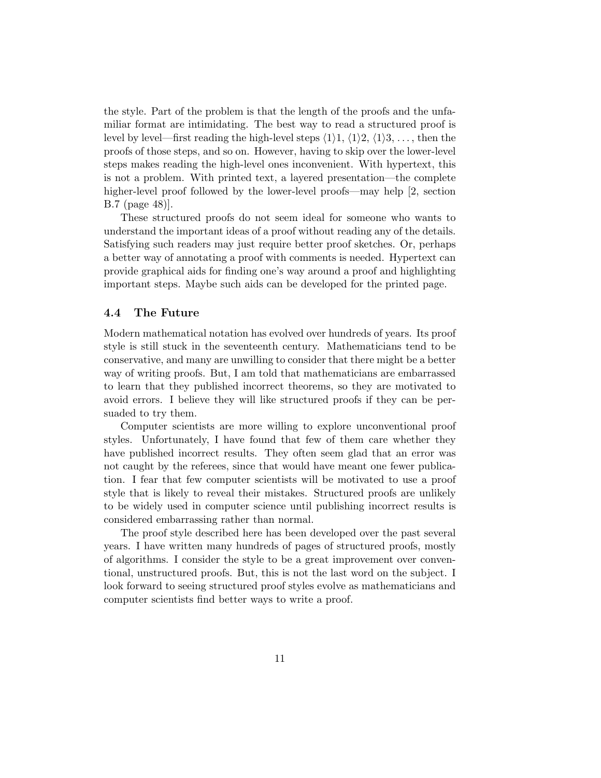the style. Part of the problem is that the length of the proofs and the unfamiliar format are intimidating. The best way to read a structured proof is level by level—first reading the high-level steps  $\langle 1 \rangle 1, \langle 1 \rangle 2, \langle 1 \rangle 3, \ldots$ , then the proofs of those steps, and so on. However, having to skip over the lower-level steps makes reading the high-level ones inconvenient. With hypertext, this is not a problem. With printed text, a layered presentation—the complete higher-level proof followed by the lower-level proofs—may help [2, section B.7 (page 48)].

These structured proofs do not seem ideal for someone who wants to understand the important ideas of a proof without reading any of the details. Satisfying such readers may just require better proof sketches. Or, perhaps a better way of annotating a proof with comments is needed. Hypertext can provide graphical aids for finding one's way around a proof and highlighting important steps. Maybe such aids can be developed for the printed page.

### 4.4 The Future

Modern mathematical notation has evolved over hundreds of years. Its proof style is still stuck in the seventeenth century. Mathematicians tend to be conservative, and many are unwilling to consider that there might be a better way of writing proofs. But, I am told that mathematicians are embarrassed to learn that they published incorrect theorems, so they are motivated to avoid errors. I believe they will like structured proofs if they can be persuaded to try them.

Computer scientists are more willing to explore unconventional proof styles. Unfortunately, I have found that few of them care whether they have published incorrect results. They often seem glad that an error was not caught by the referees, since that would have meant one fewer publication. I fear that few computer scientists will be motivated to use a proof style that is likely to reveal their mistakes. Structured proofs are unlikely to be widely used in computer science until publishing incorrect results is considered embarrassing rather than normal.

The proof style described here has been developed over the past several years. I have written many hundreds of pages of structured proofs, mostly of algorithms. I consider the style to be a great improvement over conventional, unstructured proofs. But, this is not the last word on the subject. I look forward to seeing structured proof styles evolve as mathematicians and computer scientists find better ways to write a proof.